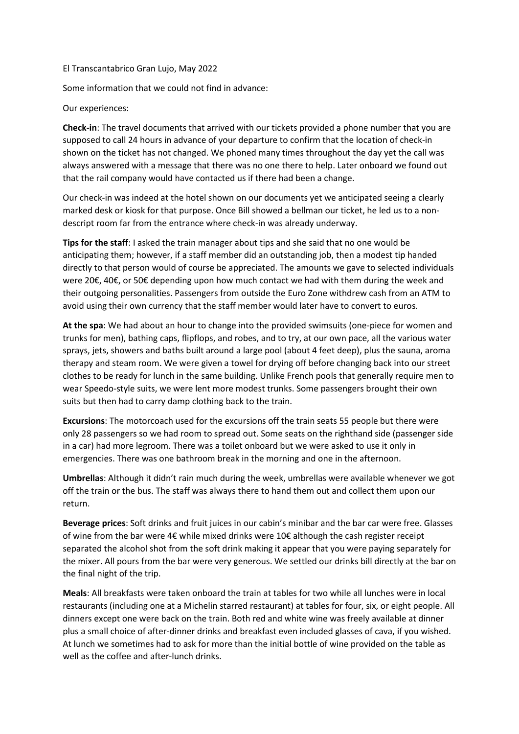El Transcantabrico Gran Lujo, May 2022

Some information that we could not find in advance:

Our experiences:

Check-in: The travel documents that arrived with our tickets provided a phone number that you are supposed to call 24 hours in advance of your departure to confirm that the location of check-in shown on the ticket has not changed. We phoned many times throughout the day yet the call was always answered with a message that there was no one there to help. Later onboard we found out that the rail company would have contacted us if there had been a change.

Our check-in was indeed at the hotel shown on our documents yet we anticipated seeing a clearly marked desk or kiosk for that purpose. Once Bill showed a bellman our ticket, he led us to a nondescript room far from the entrance where check-in was already underway.

Tips for the staff: I asked the train manager about tips and she said that no one would be anticipating them; however, if a staff member did an outstanding job, then a modest tip handed directly to that person would of course be appreciated. The amounts we gave to selected individuals were 20€, 40€, or 50€ depending upon how much contact we had with them during the week and their outgoing personalities. Passengers from outside the Euro Zone withdrew cash from an ATM to avoid using their own currency that the staff member would later have to convert to euros.

At the spa: We had about an hour to change into the provided swimsuits (one-piece for women and trunks for men), bathing caps, flipflops, and robes, and to try, at our own pace, all the various water sprays, jets, showers and baths built around a large pool (about 4 feet deep), plus the sauna, aroma therapy and steam room. We were given a towel for drying off before changing back into our street clothes to be ready for lunch in the same building. Unlike French pools that generally require men to wear Speedo-style suits, we were lent more modest trunks. Some passengers brought their own suits but then had to carry damp clothing back to the train.

Excursions: The motorcoach used for the excursions off the train seats 55 people but there were only 28 passengers so we had room to spread out. Some seats on the righthand side (passenger side in a car) had more legroom. There was a toilet onboard but we were asked to use it only in emergencies. There was one bathroom break in the morning and one in the afternoon.

Umbrellas: Although it didn't rain much during the week, umbrellas were available whenever we got off the train or the bus. The staff was always there to hand them out and collect them upon our return.

Beverage prices: Soft drinks and fruit juices in our cabin's minibar and the bar car were free. Glasses of wine from the bar were 4€ while mixed drinks were 10€ although the cash register receipt separated the alcohol shot from the soft drink making it appear that you were paying separately for the mixer. All pours from the bar were very generous. We settled our drinks bill directly at the bar on the final night of the trip.

Meals: All breakfasts were taken onboard the train at tables for two while all lunches were in local restaurants (including one at a Michelin starred restaurant) at tables for four, six, or eight people. All dinners except one were back on the train. Both red and white wine was freely available at dinner plus a small choice of after-dinner drinks and breakfast even included glasses of cava, if you wished. At lunch we sometimes had to ask for more than the initial bottle of wine provided on the table as well as the coffee and after-lunch drinks.